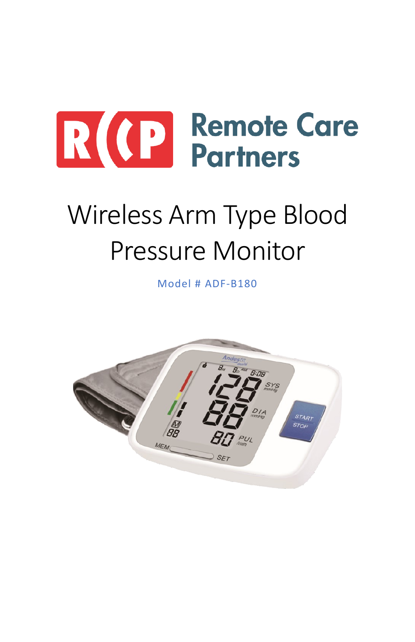

# Wireless Arm Type Blood Pressure Monitor

Model # ADF-B180

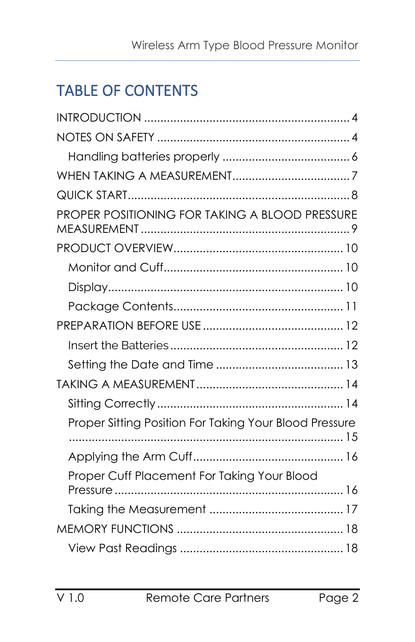# TABLE OF CONTENTS

| PROPER POSITIONING FOR TAKING A BLOOD PRESSURE         |
|--------------------------------------------------------|
|                                                        |
|                                                        |
|                                                        |
|                                                        |
|                                                        |
|                                                        |
|                                                        |
|                                                        |
|                                                        |
| Proper Sitting Position For Taking Your Blood Pressure |
|                                                        |
| Proper Cuff Placement For Taking Your Blood            |
|                                                        |
|                                                        |
|                                                        |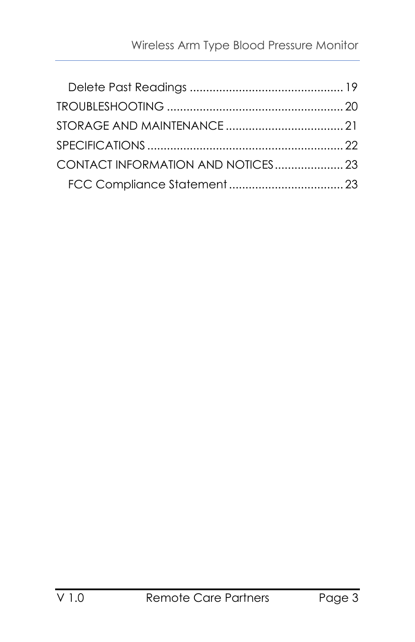| CONTACT INFORMATION AND NOTICES 23 |  |
|------------------------------------|--|
|                                    |  |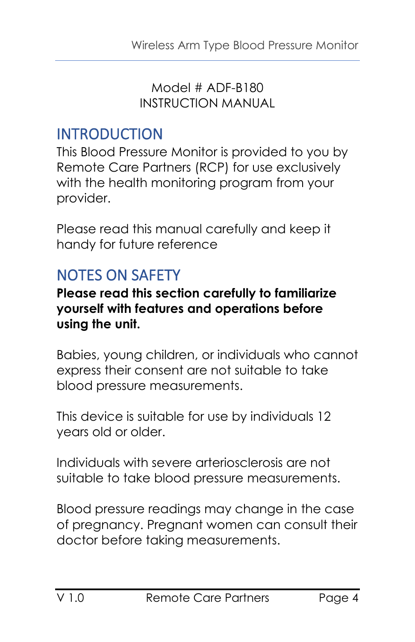Model # ADF-B180 INSTRUCTION MANUAL

## <span id="page-3-0"></span>INTRODUCTION

This Blood Pressure Monitor is provided to you by Remote Care Partners (RCP) for use exclusively with the health monitoring program from your provider.

Please read this manual carefully and keep it handy for future reference

# <span id="page-3-1"></span>NOTES ON SAFETY

#### **Please read this section carefully to familiarize yourself with features and operations before using the unit.**

Babies, young children, or individuals who cannot express their consent are not suitable to take blood pressure measurements.

This device is suitable for use by individuals 12 years old or older.

Individuals with severe arteriosclerosis are not suitable to take blood pressure measurements.

Blood pressure readings may change in the case of pregnancy. Pregnant women can consult their doctor before taking measurements.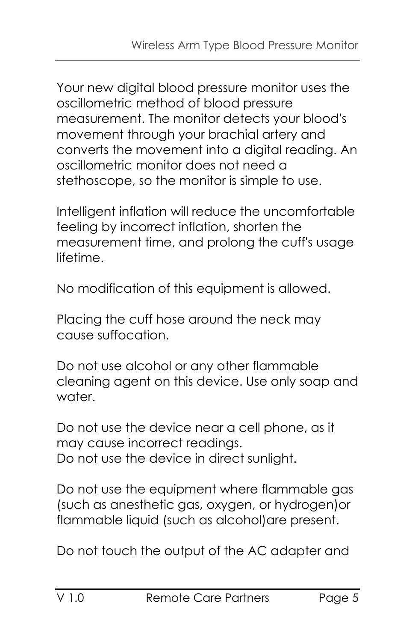Your new digital blood pressure monitor uses the oscillometric method of blood pressure measurement. The monitor detects your blood's movement through your brachial artery and converts the movement into a digital reading. An oscillometric monitor does not need a stethoscope, so the monitor is simple to use.

Intelligent inflation will reduce the uncomfortable feeling by incorrect inflation, shorten the measurement time, and prolong the cuff's usage lifetime.

No modification of this equipment is allowed.

Placing the cuff hose around the neck may cause suffocation.

Do not use alcohol or any other flammable cleaning agent on this device. Use only soap and water.

Do not use the device near a cell phone, as it may cause incorrect readings. Do not use the device in direct sunlight.

Do not use the equipment where flammable gas (such as anesthetic gas, oxygen, or hydrogen)or flammable liquid (such as alcohol)are present.

Do not touch the output of the AC adapter and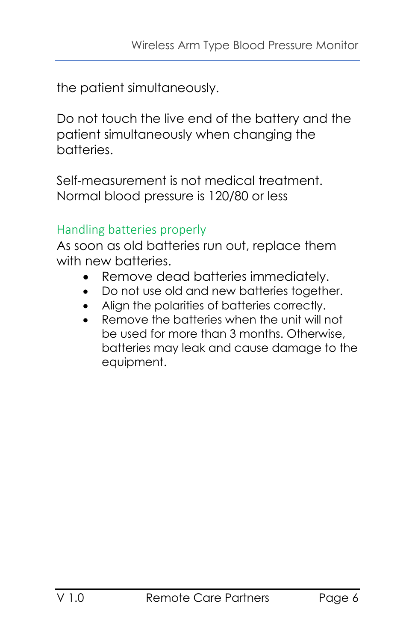the patient simultaneously.

Do not touch the live end of the battery and the patient simultaneously when changing the batteries.

Self-measurement is not medical treatment. Normal blood pressure is 120/80 or less

## <span id="page-5-0"></span>Handling batteries properly

As soon as old batteries run out, replace them with new batteries.

- Remove dead batteries immediately.
- Do not use old and new batteries together.
- Align the polarities of batteries correctly.
- Remove the batteries when the unit will not be used for more than 3 months. Otherwise, batteries may leak and cause damage to the equipment.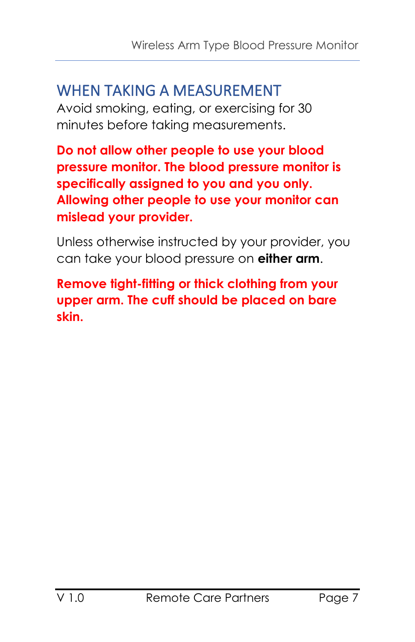## <span id="page-6-0"></span>WHEN TAKING A MEASUREMENT

Avoid smoking, eating, or exercising for 30 minutes before taking measurements.

**Do not allow other people to use your blood pressure monitor. The blood pressure monitor is specifically assigned to you and you only. Allowing other people to use your monitor can mislead your provider.**

Unless otherwise instructed by your provider, you can take your blood pressure on **either arm**.

**Remove tight-fitting or thick clothing from your upper arm. The cuff should be placed on bare skin.**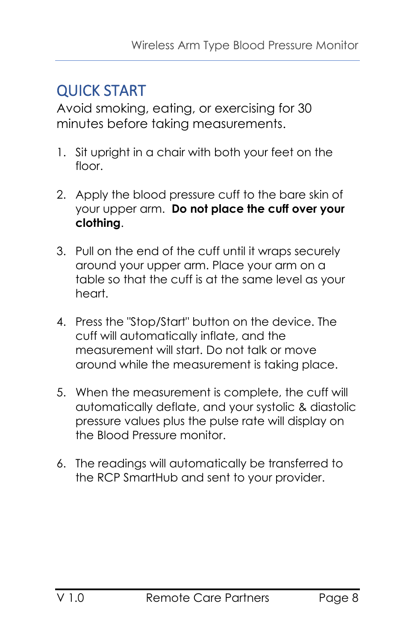## <span id="page-7-0"></span>QUICK START

Avoid smoking, eating, or exercising for 30 minutes before taking measurements.

- 1. Sit upright in a chair with both your feet on the floor.
- 2. Apply the blood pressure cuff to the bare skin of your upper arm. **Do not place the cuff over your clothing**.
- 3. Pull on the end of the cuff until it wraps securely around your upper arm. Place your arm on a table so that the cuff is at the same level as your heart.
- 4. Press the "Stop/Start" button on the device. The cuff will automatically inflate, and the measurement will start. Do not talk or move around while the measurement is taking place.
- 5. When the measurement is complete, the cuff will automatically deflate, and your systolic & diastolic pressure values plus the pulse rate will display on the Blood Pressure monitor.
- 6. The readings will automatically be transferred to the RCP SmartHub and sent to your provider.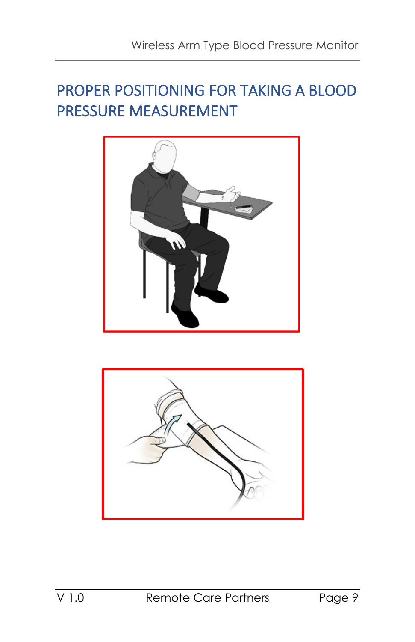# <span id="page-8-0"></span>PROPER POSITIONING FOR TAKING A BLOOD PRESSURE MEASUREMENT



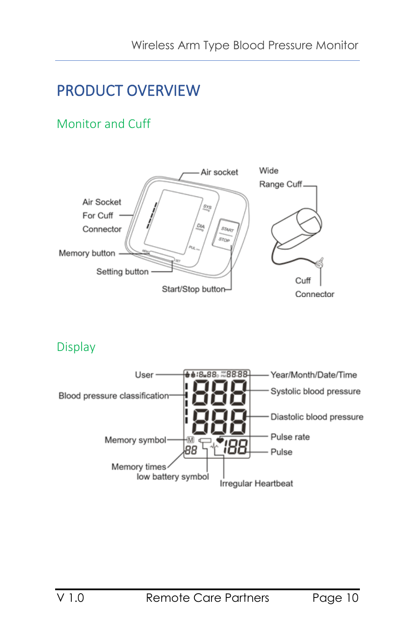# <span id="page-9-0"></span>PRODUCT OVERVIEW

## <span id="page-9-1"></span>Monitor and Cuff



#### <span id="page-9-2"></span>Display

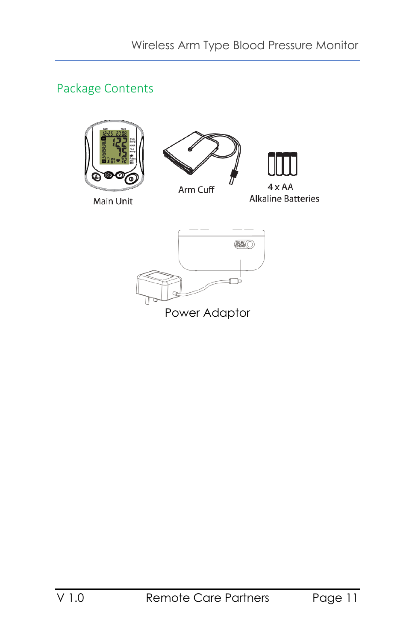## <span id="page-10-0"></span>Package Contents



Main Unit



Arm Cuff

 $4 \times AA$ **Alkaline Batteries** 

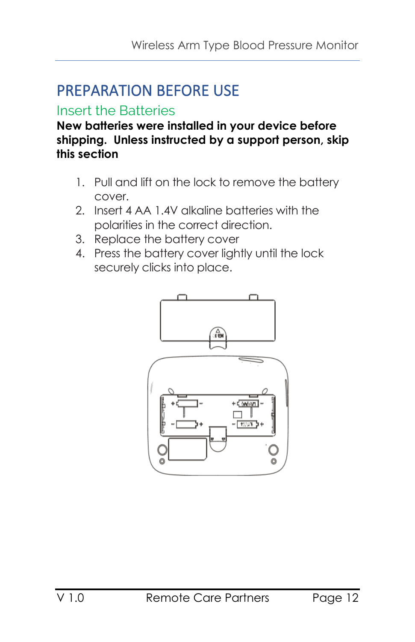# <span id="page-11-0"></span>PREPARATION BEFORE USE

## <span id="page-11-1"></span>Insert the Batteries

**New batteries were installed in your device before shipping. Unless instructed by a support person, skip this section**

- 1. Pull and lift on the lock to remove the battery cover.
- 2. Insert 4 AA 1.4V alkaline batteries with the polarities in the correct direction.
- 3. Replace the battery cover
- 4. Press the battery cover lightly until the lock securely clicks into place.

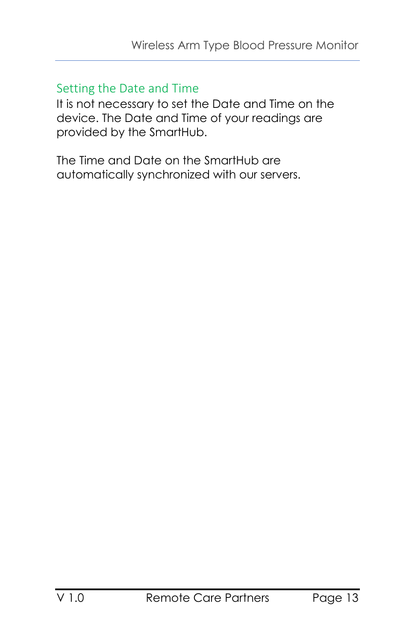## <span id="page-12-0"></span>Setting the Date and Time

It is not necessary to set the Date and Time on the device. The Date and Time of your readings are provided by the SmartHub.

The Time and Date on the SmartHub are automatically synchronized with our servers.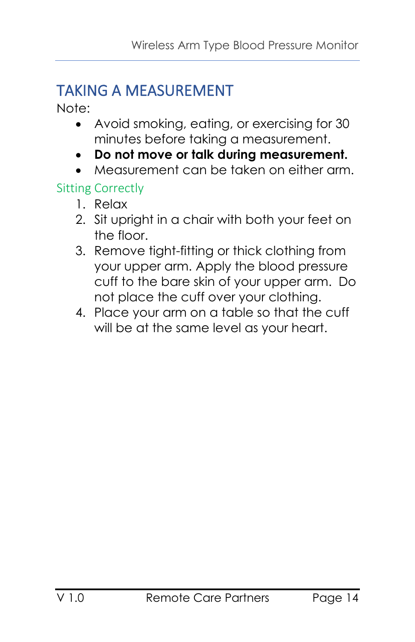# <span id="page-13-0"></span>TAKING A MEASUREMENT

Note:

- Avoid smoking, eating, or exercising for 30 minutes before taking a measurement.
- **Do not move or talk during measurement.**
- Measurement can be taken on either arm.

## <span id="page-13-1"></span>Sitting Correctly

- 1. Relax
- 2. Sit upright in a chair with both your feet on the floor.
- 3. Remove tight-fitting or thick clothing from your upper arm. Apply the blood pressure cuff to the bare skin of your upper arm. Do not place the cuff over your clothing.
- 4. Place your arm on a table so that the cuff will be at the same level as your heart.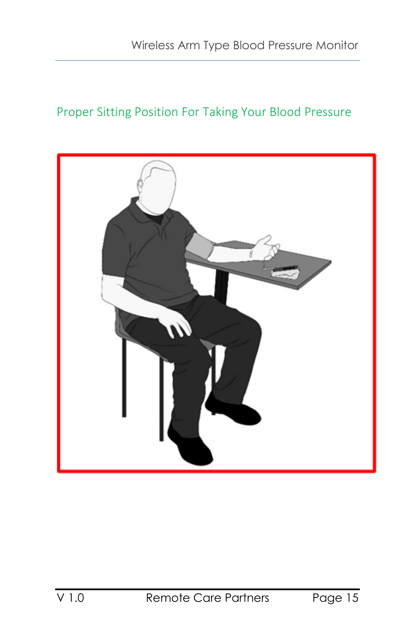## <span id="page-14-0"></span>Proper Sitting Position For Taking Your Blood Pressure

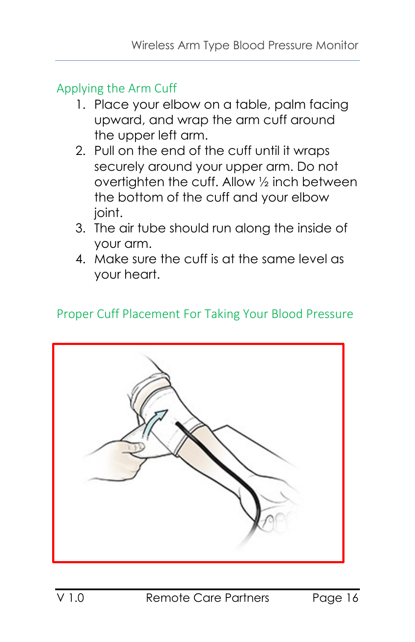<span id="page-15-0"></span>Applying the Arm Cuff

- 1. Place your elbow on a table, palm facing upward, and wrap the arm cuff around the upper left arm.
- 2. Pull on the end of the cuff until it wraps securely around your upper arm. Do not overtighten the cuff. Allow ½ inch between the bottom of the cuff and your elbow ioint.
- 3. The air tube should run along the inside of your arm.
- 4. Make sure the cuff is at the same level as your heart.

## <span id="page-15-1"></span>Proper Cuff Placement For Taking Your Blood Pressure

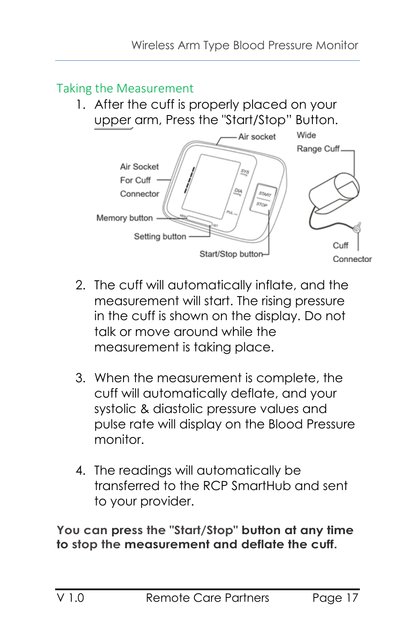## <span id="page-16-0"></span>Taking the Measurement

1. After the cuff is properly placed on your upper arm, Press the "Start/Stop" Button.



- 2. The cuff will automatically inflate, and the measurement will start. The rising pressure in the cuff is shown on the display. Do not talk or move around while the measurement is taking place.
- 3. When the measurement is complete, the cuff will automatically deflate, and your systolic & diastolic pressure values and pulse rate will display on the Blood Pressure monitor.
- 4. The readings will automatically be transferred to the RCP SmartHub and sent to your provider.

**You can press the "Start/Stop" button at any time to stop the measurement and deflate the cuff.**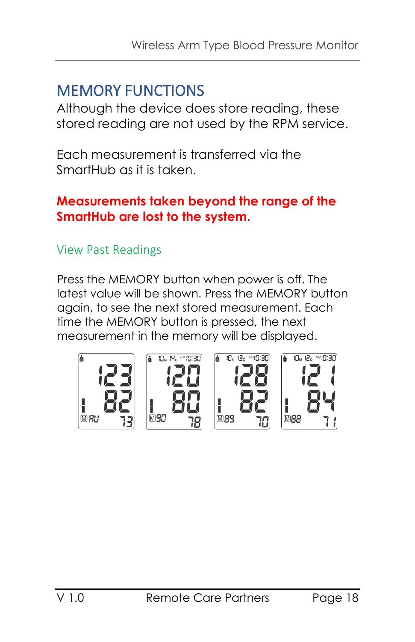## <span id="page-17-0"></span>MEMORY FUNCTIONS

Although the device does store reading, these stored reading are not used by the RPM service.

Each measurement is transferred via the SmartHub as it is taken.

#### **Measurements taken beyond the range of the SmartHub are lost to the system.**

#### <span id="page-17-1"></span>View Past Readings

Press the MEMORY button when power is off. The latest value will be shown. Press the MEMORY button again, to see the next stored measurement. Each time the MEMORY button is pressed, the next measurement in the memory will be displayed.

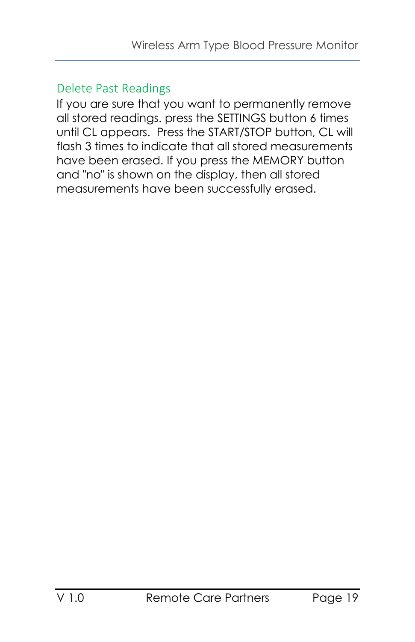#### <span id="page-18-0"></span>Delete Past Readings

If you are sure that you want to permanently remove all stored readings. press the SETTINGS button 6 times until CL appears. Press the START/STOP button, CL will flash 3 times to indicate that all stored measurements have been erased. If you press the MEMORY button and "no" is shown on the display, then all stored measurements have been successfully erased.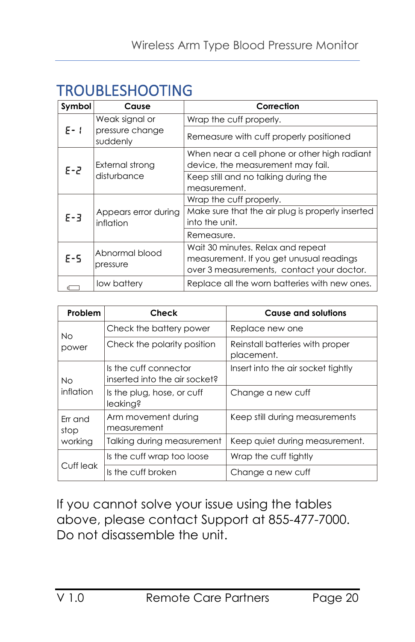## <span id="page-19-0"></span>TROUBLESHOOTING

| Symbol                 | Cause                             | Correction                                       |
|------------------------|-----------------------------------|--------------------------------------------------|
| $F - 1$                | Weak signal or                    | Wrap the cuff properly.                          |
|                        | pressure change<br>suddenly       | Remeasure with cuff properly positioned          |
| $E - 2$<br>disturbance |                                   | When near a cell phone or other high radiant     |
|                        | External strong                   | device, the measurement may fail.                |
|                        |                                   | Keep still and no talking during the             |
|                        |                                   | measurement.                                     |
| $E - 3$                |                                   | Wrap the cuff properly.                          |
|                        | Appears error during<br>inflation | Make sure that the air plug is properly inserted |
|                        |                                   | into the unit.                                   |
|                        |                                   | Remeasure.                                       |
| $E-5$                  | Abnormal blood                    | Wait 30 minutes. Relax and repeat                |
|                        |                                   | measurement. If you get unusual readings         |
|                        | pressure                          | over 3 measurements, contact your doctor.        |
|                        | low battery                       | Replace all the worn batteries with new ones.    |

| Problem         | Check                                                  | <b>Cause and solutions</b>                    |
|-----------------|--------------------------------------------------------|-----------------------------------------------|
| Nο<br>power     | Check the battery power                                | Replace new one                               |
|                 | Check the polarity position                            | Reinstall batteries with proper<br>placement. |
| Nο<br>inflation | Is the cuff connector<br>inserted into the air socket? | Insert into the air socket tightly            |
|                 | Is the plug, hose, or cuff<br>leaking?                 | Change a new cuff                             |
| Err and<br>stop | Arm movement during<br>measurement                     | Keep still during measurements                |
| working         | Talking during measurement                             | Keep quiet during measurement.                |
| Cuff leak       | Is the cuff wrap too loose                             | Wrap the cuff tightly                         |
|                 | Is the cuff broken                                     | Change a new cuff                             |

If you cannot solve your issue using the tables above, please contact Support at 855-477-7000. Do not disassemble the unit.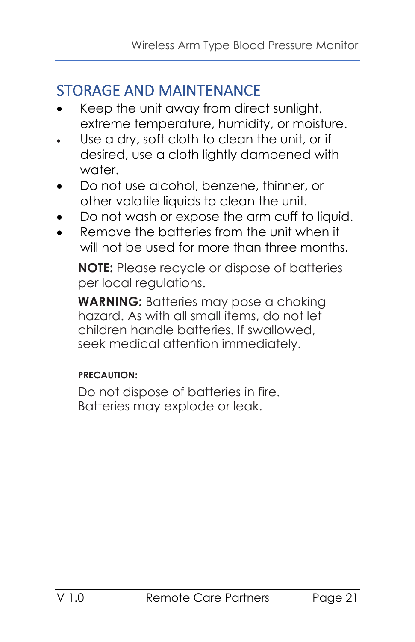## <span id="page-20-0"></span>STORAGE AND MAINTENANCE

- Keep the unit away from direct sunlight, extreme temperature, humidity, or moisture.
- Use a dry, soft cloth to clean the unit, or if desired, use a cloth lightly dampened with water.
- Do not use alcohol, benzene, thinner, or other volatile liquids to clean the unit.
- Do not wash or expose the arm cuff to liquid.
- Remove the batteries from the unit when it will not be used for more than three months.

**NOTE:** Please recycle or dispose of batteries per local regulations.

**WARNING:** Batteries may pose a choking hazard. As with all small items, do not let children handle batteries. If swallowed, seek medical attention immediately.

#### **PRECAUTION:**

Do not dispose of batteries in fire. Batteries may explode or leak.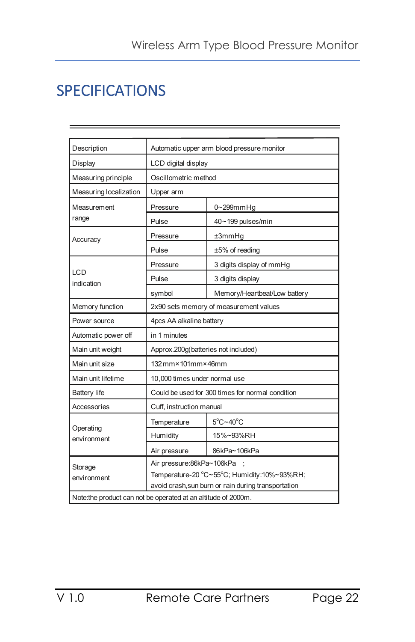# <span id="page-21-0"></span>SPECIFICATIONS

| Description                                                   | Automatic upper arm blood pressure monitor                                                                                      |                               |  |  |  |
|---------------------------------------------------------------|---------------------------------------------------------------------------------------------------------------------------------|-------------------------------|--|--|--|
| Display                                                       | LCD digital display                                                                                                             |                               |  |  |  |
| Measuring principle                                           | Oscillometric method                                                                                                            |                               |  |  |  |
| Measuring localization                                        | Upper arm                                                                                                                       |                               |  |  |  |
| Measurement                                                   | Pressure                                                                                                                        | 0~299mmHg                     |  |  |  |
| range                                                         | Pulse                                                                                                                           | 40~199 pulses/min             |  |  |  |
| Accuracy                                                      | Pressure                                                                                                                        | ±3mmHg                        |  |  |  |
|                                                               | Pulse                                                                                                                           | ±5% of reading                |  |  |  |
|                                                               | Pressure                                                                                                                        | 3 digits display of mmHg      |  |  |  |
| LCD<br>indication                                             | Pulse                                                                                                                           | 3 digits display              |  |  |  |
|                                                               | symbol                                                                                                                          | Memory/Heartbeat/Low battery  |  |  |  |
| Memory function                                               | 2x90 sets memory of measurement values                                                                                          |                               |  |  |  |
| Power source                                                  | 4pcs AA alkaline battery                                                                                                        |                               |  |  |  |
| Automatic power off                                           | in 1 minutes                                                                                                                    |                               |  |  |  |
| Main unit weight                                              | Approx.200g(batteries not included)                                                                                             |                               |  |  |  |
| Main unit size                                                | $132$ mm $\times$ 101mm $\times$ 46mm                                                                                           |                               |  |  |  |
| Main unit lifetime                                            | 10,000 times under normal use                                                                                                   |                               |  |  |  |
| <b>Battery life</b>                                           | Could be used for 300 times for normal condition                                                                                |                               |  |  |  |
| Accessories                                                   | Cuff, instruction manual                                                                                                        |                               |  |  |  |
|                                                               | Temperature                                                                                                                     | $5^{\circ}$ C~40 $^{\circ}$ C |  |  |  |
| Operating<br>environment                                      | Humidity                                                                                                                        | 15%~93%RH                     |  |  |  |
|                                                               | Air pressure                                                                                                                    | 86kPa~106kPa                  |  |  |  |
| Storage<br>environment                                        | Air pressure:86kPa~106kPa<br>Temperature-20 °C~55°C; Humidity:10%~93%RH;<br>avoid crash, sun burn or rain during transportation |                               |  |  |  |
| Note:the product can not be operated at an altitude of 2000m. |                                                                                                                                 |                               |  |  |  |
|                                                               |                                                                                                                                 |                               |  |  |  |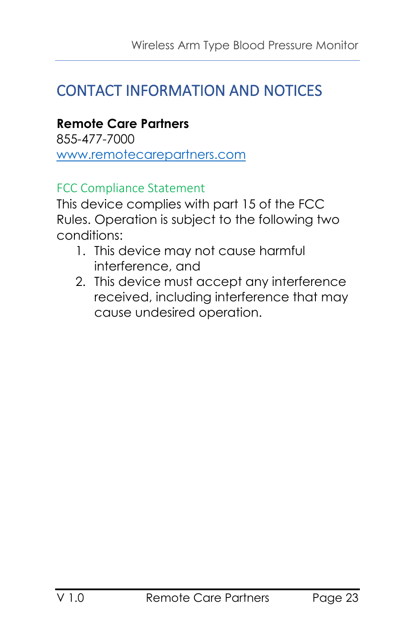## <span id="page-22-0"></span>CONTACT INFORMATION AND NOTICES

**Remote Care Partners** 855-477-7000 [www.remotecarepartners.com](http://www.remotecarepartners.com/)

#### <span id="page-22-1"></span>FCC Compliance Statement

This device complies with part 15 of the FCC Rules. Operation is subject to the following two conditions:

- 1. This device may not cause harmful interference, and
- 2. This device must accept any interference received, including interference that may cause undesired operation.